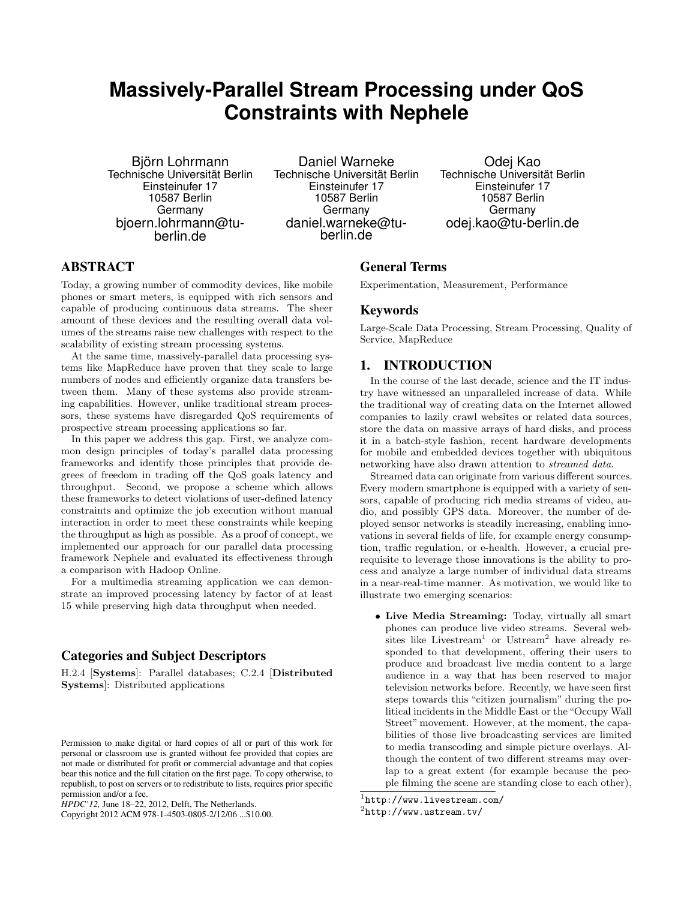# **Massively-Parallel Stream Processing under QoS Constraints with Nephele**

Björn Lohrmann Technische Universität Berlin Einsteinufer 17 10587 Berlin Germany bjoern.lohrmann@tuberlin.de

Daniel Warneke Technische Universität Berlin Einsteinufer 17 10587 Berlin Germany daniel.warneke@tuberlin.de

Odej Kao Technische Universität Berlin Einsteinufer 17 10587 Berlin Germany odej.kao@tu-berlin.de

# ABSTRACT

Today, a growing number of commodity devices, like mobile phones or smart meters, is equipped with rich sensors and capable of producing continuous data streams. The sheer amount of these devices and the resulting overall data volumes of the streams raise new challenges with respect to the scalability of existing stream processing systems.

At the same time, massively-parallel data processing systems like MapReduce have proven that they scale to large numbers of nodes and efficiently organize data transfers between them. Many of these systems also provide streaming capabilities. However, unlike traditional stream processors, these systems have disregarded QoS requirements of prospective stream processing applications so far.

In this paper we address this gap. First, we analyze common design principles of today's parallel data processing frameworks and identify those principles that provide degrees of freedom in trading off the QoS goals latency and throughput. Second, we propose a scheme which allows these frameworks to detect violations of user-defined latency constraints and optimize the job execution without manual interaction in order to meet these constraints while keeping the throughput as high as possible. As a proof of concept, we implemented our approach for our parallel data processing framework Nephele and evaluated its effectiveness through a comparison with Hadoop Online.

For a multimedia streaming application we can demonstrate an improved processing latency by factor of at least 15 while preserving high data throughput when needed.

# Categories and Subject Descriptors

H.2.4 [Systems]: Parallel databases; C.2.4 [Distributed Systems]: Distributed applications

Copyright 2012 ACM 978-1-4503-0805-2/12/06 ...\$10.00.

#### General Terms

Experimentation, Measurement, Performance

#### Keywords

Large-Scale Data Processing, Stream Processing, Quality of Service, MapReduce

# 1. INTRODUCTION

In the course of the last decade, science and the IT industry have witnessed an unparalleled increase of data. While the traditional way of creating data on the Internet allowed companies to lazily crawl websites or related data sources, store the data on massive arrays of hard disks, and process it in a batch-style fashion, recent hardware developments for mobile and embedded devices together with ubiquitous networking have also drawn attention to streamed data.

Streamed data can originate from various different sources. Every modern smartphone is equipped with a variety of sensors, capable of producing rich media streams of video, audio, and possibly GPS data. Moreover, the number of deployed sensor networks is steadily increasing, enabling innovations in several fields of life, for example energy consumption, traffic regulation, or e-health. However, a crucial prerequisite to leverage those innovations is the ability to process and analyze a large number of individual data streams in a near-real-time manner. As motivation, we would like to illustrate two emerging scenarios:

• Live Media Streaming: Today, virtually all smart phones can produce live video streams. Several websites like Livestream<sup>1</sup> or Ustream<sup>2</sup> have already responded to that development, offering their users to produce and broadcast live media content to a large audience in a way that has been reserved to major television networks before. Recently, we have seen first steps towards this "citizen journalism" during the political incidents in the Middle East or the "Occupy Wall Street" movement. However, at the moment, the capabilities of those live broadcasting services are limited to media transcoding and simple picture overlays. Although the content of two different streams may overlap to a great extent (for example because the people filming the scene are standing close to each other),

Permission to make digital or hard copies of all or part of this work for personal or classroom use is granted without fee provided that copies are not made or distributed for profit or commercial advantage and that copies bear this notice and the full citation on the first page. To copy otherwise, to republish, to post on servers or to redistribute to lists, requires prior specific permission and/or a fee.

*HPDC'12,* June 18–22, 2012, Delft, The Netherlands.

<sup>1</sup> http://www.livestream.com/

 $^{2}$ http://www.ustream.tv/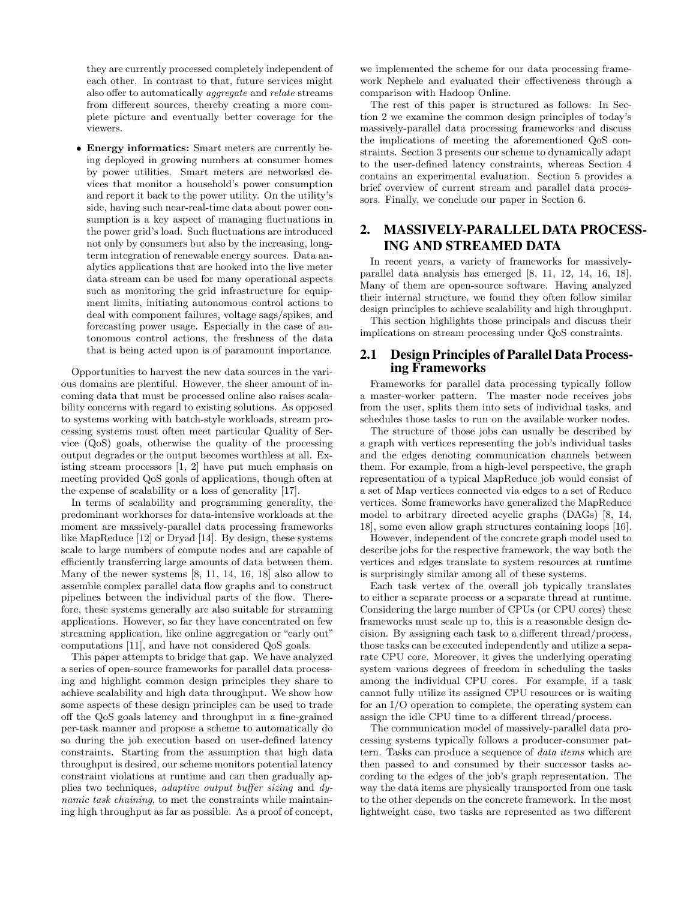they are currently processed completely independent of each other. In contrast to that, future services might also offer to automatically aggregate and relate streams from different sources, thereby creating a more complete picture and eventually better coverage for the viewers.

• Energy informatics: Smart meters are currently being deployed in growing numbers at consumer homes by power utilities. Smart meters are networked devices that monitor a household's power consumption and report it back to the power utility. On the utility's side, having such near-real-time data about power consumption is a key aspect of managing fluctuations in the power grid's load. Such fluctuations are introduced not only by consumers but also by the increasing, longterm integration of renewable energy sources. Data analytics applications that are hooked into the live meter data stream can be used for many operational aspects such as monitoring the grid infrastructure for equipment limits, initiating autonomous control actions to deal with component failures, voltage sags/spikes, and forecasting power usage. Especially in the case of autonomous control actions, the freshness of the data that is being acted upon is of paramount importance.

Opportunities to harvest the new data sources in the various domains are plentiful. However, the sheer amount of incoming data that must be processed online also raises scalability concerns with regard to existing solutions. As opposed to systems working with batch-style workloads, stream processing systems must often meet particular Quality of Service (QoS) goals, otherwise the quality of the processing output degrades or the output becomes worthless at all. Existing stream processors [1, 2] have put much emphasis on meeting provided QoS goals of applications, though often at the expense of scalability or a loss of generality [17].

In terms of scalability and programming generality, the predominant workhorses for data-intensive workloads at the moment are massively-parallel data processing frameworks like MapReduce [12] or Dryad [14]. By design, these systems scale to large numbers of compute nodes and are capable of efficiently transferring large amounts of data between them. Many of the newer systems [8, 11, 14, 16, 18] also allow to assemble complex parallel data flow graphs and to construct pipelines between the individual parts of the flow. Therefore, these systems generally are also suitable for streaming applications. However, so far they have concentrated on few streaming application, like online aggregation or "early out" computations [11], and have not considered QoS goals.

This paper attempts to bridge that gap. We have analyzed a series of open-source frameworks for parallel data processing and highlight common design principles they share to achieve scalability and high data throughput. We show how some aspects of these design principles can be used to trade off the QoS goals latency and throughput in a fine-grained per-task manner and propose a scheme to automatically do so during the job execution based on user-defined latency constraints. Starting from the assumption that high data throughput is desired, our scheme monitors potential latency constraint violations at runtime and can then gradually applies two techniques, adaptive output buffer sizing and dynamic task chaining, to met the constraints while maintaining high throughput as far as possible. As a proof of concept, we implemented the scheme for our data processing framework Nephele and evaluated their effectiveness through a comparison with Hadoop Online.

The rest of this paper is structured as follows: In Section 2 we examine the common design principles of today's massively-parallel data processing frameworks and discuss the implications of meeting the aforementioned QoS constraints. Section 3 presents our scheme to dynamically adapt to the user-defined latency constraints, whereas Section 4 contains an experimental evaluation. Section 5 provides a brief overview of current stream and parallel data processors. Finally, we conclude our paper in Section 6.

# 2. MASSIVELY-PARALLEL DATA PROCESS-ING AND STREAMED DATA

In recent years, a variety of frameworks for massivelyparallel data analysis has emerged [8, 11, 12, 14, 16, 18]. Many of them are open-source software. Having analyzed their internal structure, we found they often follow similar design principles to achieve scalability and high throughput.

This section highlights those principals and discuss their implications on stream processing under QoS constraints.

# 2.1 Design Principles of Parallel Data Processing Frameworks

Frameworks for parallel data processing typically follow a master-worker pattern. The master node receives jobs from the user, splits them into sets of individual tasks, and schedules those tasks to run on the available worker nodes.

The structure of those jobs can usually be described by a graph with vertices representing the job's individual tasks and the edges denoting communication channels between them. For example, from a high-level perspective, the graph representation of a typical MapReduce job would consist of a set of Map vertices connected via edges to a set of Reduce vertices. Some frameworks have generalized the MapReduce model to arbitrary directed acyclic graphs (DAGs) [8, 14, 18], some even allow graph structures containing loops [16].

However, independent of the concrete graph model used to describe jobs for the respective framework, the way both the vertices and edges translate to system resources at runtime is surprisingly similar among all of these systems.

Each task vertex of the overall job typically translates to either a separate process or a separate thread at runtime. Considering the large number of CPUs (or CPU cores) these frameworks must scale up to, this is a reasonable design decision. By assigning each task to a different thread/process, those tasks can be executed independently and utilize a separate CPU core. Moreover, it gives the underlying operating system various degrees of freedom in scheduling the tasks among the individual CPU cores. For example, if a task cannot fully utilize its assigned CPU resources or is waiting for an I/O operation to complete, the operating system can assign the idle CPU time to a different thread/process.

The communication model of massively-parallel data processing systems typically follows a producer-consumer pattern. Tasks can produce a sequence of data items which are then passed to and consumed by their successor tasks according to the edges of the job's graph representation. The way the data items are physically transported from one task to the other depends on the concrete framework. In the most lightweight case, two tasks are represented as two different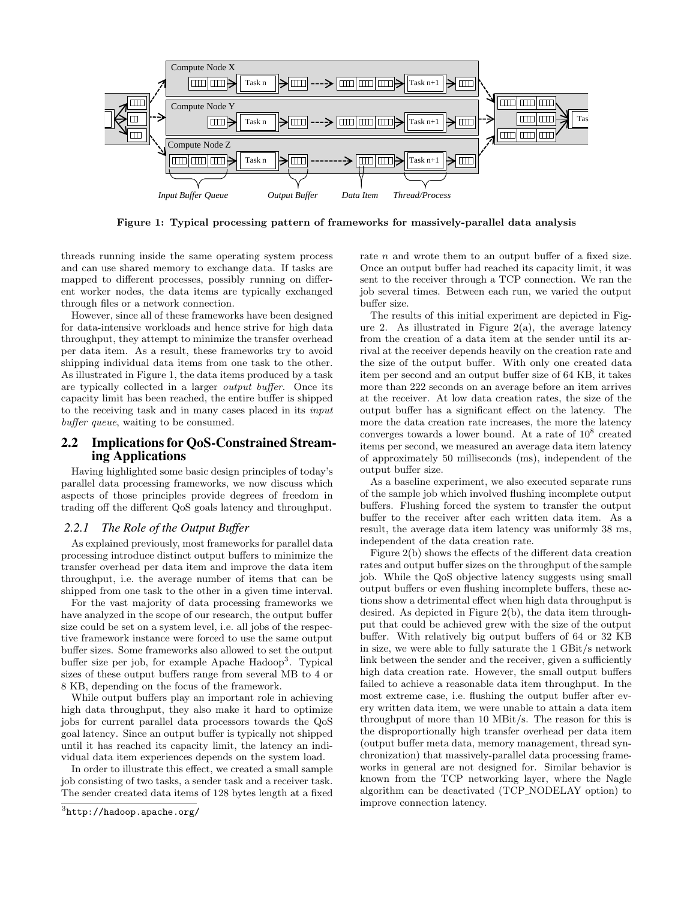

Figure 1: Typical processing pattern of frameworks for massively-parallel data analysis

threads running inside the same operating system process and can use shared memory to exchange data. If tasks are mapped to different processes, possibly running on different worker nodes, the data items are typically exchanged through files or a network connection.

However, since all of these frameworks have been designed for data-intensive workloads and hence strive for high data throughput, they attempt to minimize the transfer overhead per data item. As a result, these frameworks try to avoid shipping individual data items from one task to the other. As illustrated in Figure 1, the data items produced by a task are typically collected in a larger output buffer. Once its capacity limit has been reached, the entire buffer is shipped to the receiving task and in many cases placed in its input buffer queue, waiting to be consumed.

# 2.2 Implications for QoS-Constrained Streaming Applications

Having highlighted some basic design principles of today's parallel data processing frameworks, we now discuss which aspects of those principles provide degrees of freedom in trading off the different QoS goals latency and throughput.

#### *2.2.1 The Role of the Output Buffer*

As explained previously, most frameworks for parallel data processing introduce distinct output buffers to minimize the transfer overhead per data item and improve the data item throughput, i.e. the average number of items that can be shipped from one task to the other in a given time interval.

For the vast majority of data processing frameworks we have analyzed in the scope of our research, the output buffer size could be set on a system level, i.e. all jobs of the respective framework instance were forced to use the same output buffer sizes. Some frameworks also allowed to set the output buffer size per job, for example Apache Hadoop<sup>3</sup>. Typical sizes of these output buffers range from several MB to 4 or 8 KB, depending on the focus of the framework.

While output buffers play an important role in achieving high data throughput, they also make it hard to optimize jobs for current parallel data processors towards the QoS goal latency. Since an output buffer is typically not shipped until it has reached its capacity limit, the latency an individual data item experiences depends on the system load.

In order to illustrate this effect, we created a small sample job consisting of two tasks, a sender task and a receiver task. The sender created data items of 128 bytes length at a fixed rate *n* and wrote them to an output buffer of a fixed size. Once an output buffer had reached its capacity limit, it was sent to the receiver through a TCP connection. We ran the job several times. Between each run, we varied the output buffer size.

The results of this initial experiment are depicted in Figure 2. As illustrated in Figure  $2(a)$ , the average latency from the creation of a data item at the sender until its arrival at the receiver depends heavily on the creation rate and the size of the output buffer. With only one created data item per second and an output buffer size of 64 KB, it takes more than 222 seconds on an average before an item arrives at the receiver. At low data creation rates, the size of the output buffer has a significant effect on the latency. The more the data creation rate increases, the more the latency converges towards a lower bound. At a rate of  $10^8$  created items per second, we measured an average data item latency of approximately 50 milliseconds (ms), independent of the output buffer size.

As a baseline experiment, we also executed separate runs of the sample job which involved flushing incomplete output buffers. Flushing forced the system to transfer the output buffer to the receiver after each written data item. As a result, the average data item latency was uniformly 38 ms, independent of the data creation rate.

Figure 2(b) shows the effects of the different data creation rates and output buffer sizes on the throughput of the sample job. While the QoS objective latency suggests using small output buffers or even flushing incomplete buffers, these actions show a detrimental effect when high data throughput is desired. As depicted in Figure 2(b), the data item throughput that could be achieved grew with the size of the output buffer. With relatively big output buffers of 64 or 32 KB in size, we were able to fully saturate the 1 GBit/s network link between the sender and the receiver, given a sufficiently high data creation rate. However, the small output buffers failed to achieve a reasonable data item throughput. In the most extreme case, i.e. flushing the output buffer after every written data item, we were unable to attain a data item throughput of more than 10 MBit/s. The reason for this is the disproportionally high transfer overhead per data item (output buffer meta data, memory management, thread synchronization) that massively-parallel data processing frameworks in general are not designed for. Similar behavior is known from the TCP networking layer, where the Nagle algorithm can be deactivated (TCP NODELAY option) to improve connection latency.

 $^3$ http://hadoop.apache.org/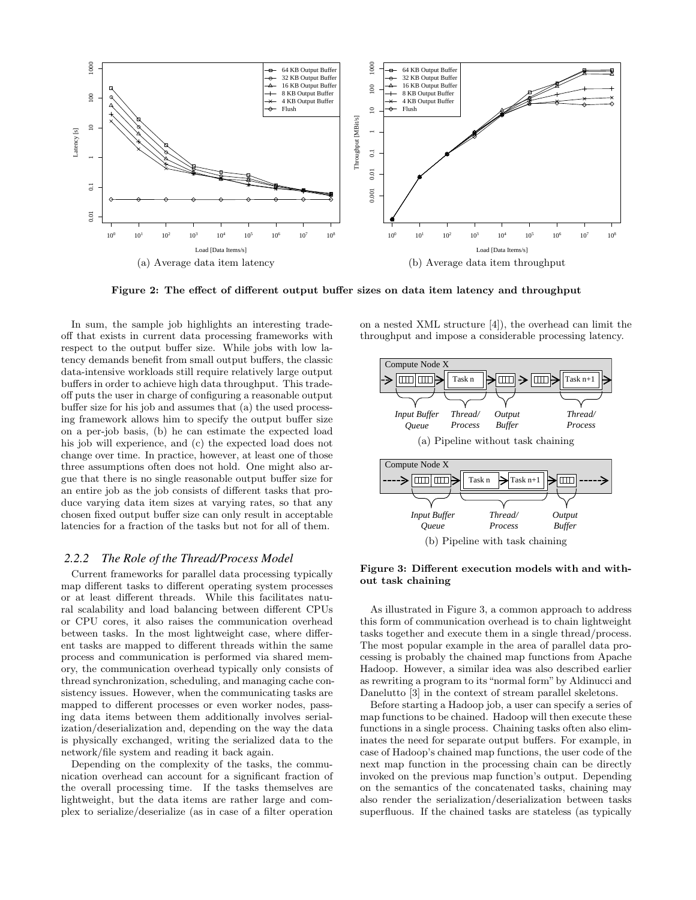

Figure 2: The effect of different output buffer sizes on data item latency and throughput

In sum, the sample job highlights an interesting tradeoff that exists in current data processing frameworks with respect to the output buffer size. While jobs with low latency demands benefit from small output buffers, the classic data-intensive workloads still require relatively large output buffers in order to achieve high data throughput. This tradeoff puts the user in charge of configuring a reasonable output buffer size for his job and assumes that (a) the used processing framework allows him to specify the output buffer size on a per-job basis, (b) he can estimate the expected load his job will experience, and (c) the expected load does not change over time. In practice, however, at least one of those three assumptions often does not hold. One might also argue that there is no single reasonable output buffer size for an entire job as the job consists of different tasks that produce varying data item sizes at varying rates, so that any chosen fixed output buffer size can only result in acceptable latencies for a fraction of the tasks but not for all of them.

#### *2.2.2 The Role of the Thread/Process Model*

Current frameworks for parallel data processing typically map different tasks to different operating system processes or at least different threads. While this facilitates natural scalability and load balancing between different CPUs or CPU cores, it also raises the communication overhead between tasks. In the most lightweight case, where different tasks are mapped to different threads within the same process and communication is performed via shared memory, the communication overhead typically only consists of thread synchronization, scheduling, and managing cache consistency issues. However, when the communicating tasks are mapped to different processes or even worker nodes, passing data items between them additionally involves serialization/deserialization and, depending on the way the data is physically exchanged, writing the serialized data to the network/file system and reading it back again.

Depending on the complexity of the tasks, the communication overhead can account for a significant fraction of the overall processing time. If the tasks themselves are lightweight, but the data items are rather large and complex to serialize/deserialize (as in case of a filter operation on a nested XML structure [4]), the overhead can limit the throughput and impose a considerable processing latency.



(b) Pipeline with task chaining

Figure 3: Different execution models with and without task chaining

As illustrated in Figure 3, a common approach to address this form of communication overhead is to chain lightweight tasks together and execute them in a single thread/process. The most popular example in the area of parallel data processing is probably the chained map functions from Apache Hadoop. However, a similar idea was also described earlier as rewriting a program to its "normal form" by Aldinucci and Danelutto [3] in the context of stream parallel skeletons.

Before starting a Hadoop job, a user can specify a series of map functions to be chained. Hadoop will then execute these functions in a single process. Chaining tasks often also eliminates the need for separate output buffers. For example, in case of Hadoop's chained map functions, the user code of the next map function in the processing chain can be directly invoked on the previous map function's output. Depending on the semantics of the concatenated tasks, chaining may also render the serialization/deserialization between tasks superfluous. If the chained tasks are stateless (as typically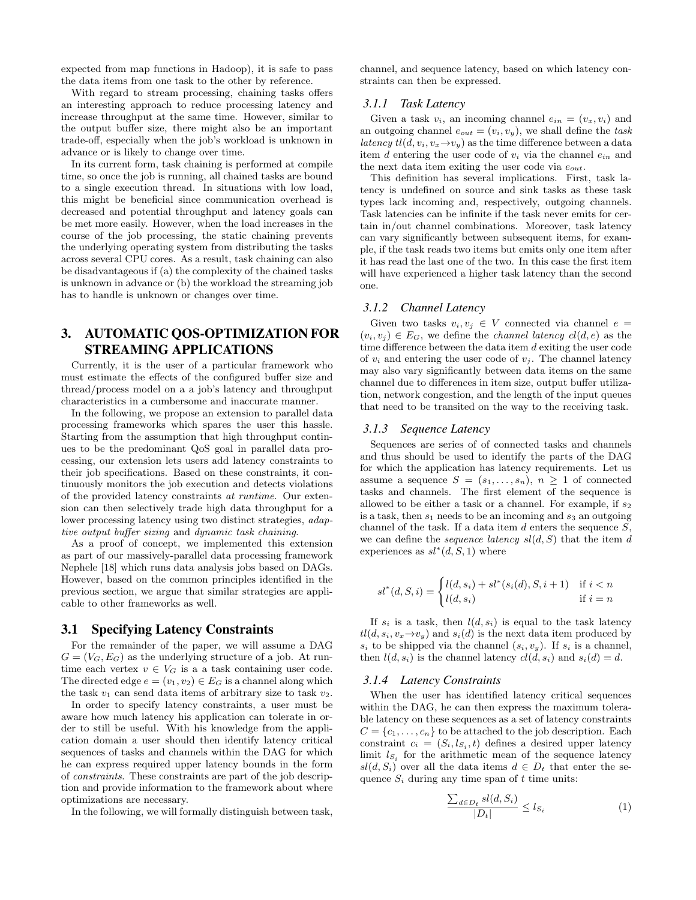expected from map functions in Hadoop), it is safe to pass the data items from one task to the other by reference.

With regard to stream processing, chaining tasks offers an interesting approach to reduce processing latency and increase throughput at the same time. However, similar to the output buffer size, there might also be an important trade-off, especially when the job's workload is unknown in advance or is likely to change over time.

In its current form, task chaining is performed at compile time, so once the job is running, all chained tasks are bound to a single execution thread. In situations with low load, this might be beneficial since communication overhead is decreased and potential throughput and latency goals can be met more easily. However, when the load increases in the course of the job processing, the static chaining prevents the underlying operating system from distributing the tasks across several CPU cores. As a result, task chaining can also be disadvantageous if (a) the complexity of the chained tasks is unknown in advance or (b) the workload the streaming job has to handle is unknown or changes over time.

# 3. AUTOMATIC QOS-OPTIMIZATION FOR STREAMING APPLICATIONS

Currently, it is the user of a particular framework who must estimate the effects of the configured buffer size and thread/process model on a a job's latency and throughput characteristics in a cumbersome and inaccurate manner.

In the following, we propose an extension to parallel data processing frameworks which spares the user this hassle. Starting from the assumption that high throughput continues to be the predominant QoS goal in parallel data processing, our extension lets users add latency constraints to their job specifications. Based on these constraints, it continuously monitors the job execution and detects violations of the provided latency constraints at runtime. Our extension can then selectively trade high data throughput for a lower processing latency using two distinct strategies, adaptive output buffer sizing and dynamic task chaining.

As a proof of concept, we implemented this extension as part of our massively-parallel data processing framework Nephele [18] which runs data analysis jobs based on DAGs. However, based on the common principles identified in the previous section, we argue that similar strategies are applicable to other frameworks as well.

# 3.1 Specifying Latency Constraints

For the remainder of the paper, we will assume a DAG  $G = (V_G, E_G)$  as the underlying structure of a job. At runtime each vertex  $v \in V_G$  is a a task containing user code. The directed edge  $e = (v_1, v_2) \in E_G$  is a channel along which the task  $v_1$  can send data items of arbitrary size to task  $v_2$ .

In order to specify latency constraints, a user must be aware how much latency his application can tolerate in order to still be useful. With his knowledge from the application domain a user should then identify latency critical sequences of tasks and channels within the DAG for which he can express required upper latency bounds in the form of constraints. These constraints are part of the job description and provide information to the framework about where optimizations are necessary.

In the following, we will formally distinguish between task,

channel, and sequence latency, based on which latency constraints can then be expressed.

#### *3.1.1 Task Latency*

Given a task  $v_i$ , an incoming channel  $e_{in} = (v_x, v_i)$  and an outgoing channel  $e_{out} = (v_i, v_y)$ , we shall define the task latency  $tl(d, v_i, v_x \rightarrow v_y)$  as the time difference between a data item  $d$  entering the user code of  $v_i$  via the channel  $e_{in}$  and the next data item exiting the user code via  $e_{out}$ .

This definition has several implications. First, task latency is undefined on source and sink tasks as these task types lack incoming and, respectively, outgoing channels. Task latencies can be infinite if the task never emits for certain in/out channel combinations. Moreover, task latency can vary significantly between subsequent items, for example, if the task reads two items but emits only one item after it has read the last one of the two. In this case the first item will have experienced a higher task latency than the second one.

## *3.1.2 Channel Latency*

Given two tasks  $v_i, v_j \in V$  connected via channel  $e =$  $(v_i, v_j) \in E_G$ , we define the *channel latency*  $cl(d, e)$  as the time difference between the data item d exiting the user code of  $v_i$  and entering the user code of  $v_i$ . The channel latency may also vary significantly between data items on the same channel due to differences in item size, output buffer utilization, network congestion, and the length of the input queues that need to be transited on the way to the receiving task.

#### *3.1.3 Sequence Latency*

Sequences are series of of connected tasks and channels and thus should be used to identify the parts of the DAG for which the application has latency requirements. Let us assume a sequence  $S = (s_1, \ldots, s_n), n \geq 1$  of connected tasks and channels. The first element of the sequence is allowed to be either a task or a channel. For example, if  $s_2$ is a task, then  $s_1$  needs to be an incoming and  $s_3$  an outgoing channel of the task. If a data item  $d$  enters the sequence  $S$ , we can define the *sequence latency*  $sl(d, S)$  that the item d experiences as  $sl^*(d, S, 1)$  where

$$
sl^*(d, S, i) = \begin{cases} l(d, s_i) + sl^*(s_i(d), S, i + 1) & \text{if } i < n \\ l(d, s_i) & \text{if } i = n \end{cases}
$$

If  $s_i$  is a task, then  $l(d, s_i)$  is equal to the task latency  $tl(d, s_i, v_x \rightarrow v_y)$  and  $s_i(d)$  is the next data item produced by  $s_i$  to be shipped via the channel  $(s_i, v_y)$ . If  $s_i$  is a channel, then  $l(d, s_i)$  is the channel latency  $cl(d, s_i)$  and  $s_i(d) = d$ .

#### *3.1.4 Latency Constraints*

When the user has identified latency critical sequences within the DAG, he can then express the maximum tolerable latency on these sequences as a set of latency constraints  $C = \{c_1, \ldots, c_n\}$  to be attached to the job description. Each constraint  $c_i = (S_i, l_{S_i}, t)$  defines a desired upper latency limit  $l_{S_i}$  for the arithmetic mean of the sequence latency  $sl(d, S_i)$  over all the data items  $d \in D_t$  that enter the sequence  $S_i$  during any time span of t time units:

$$
\frac{\sum_{d \in D_t} sl(d, S_i)}{|D_t|} \le l_{S_i}
$$
\n(1)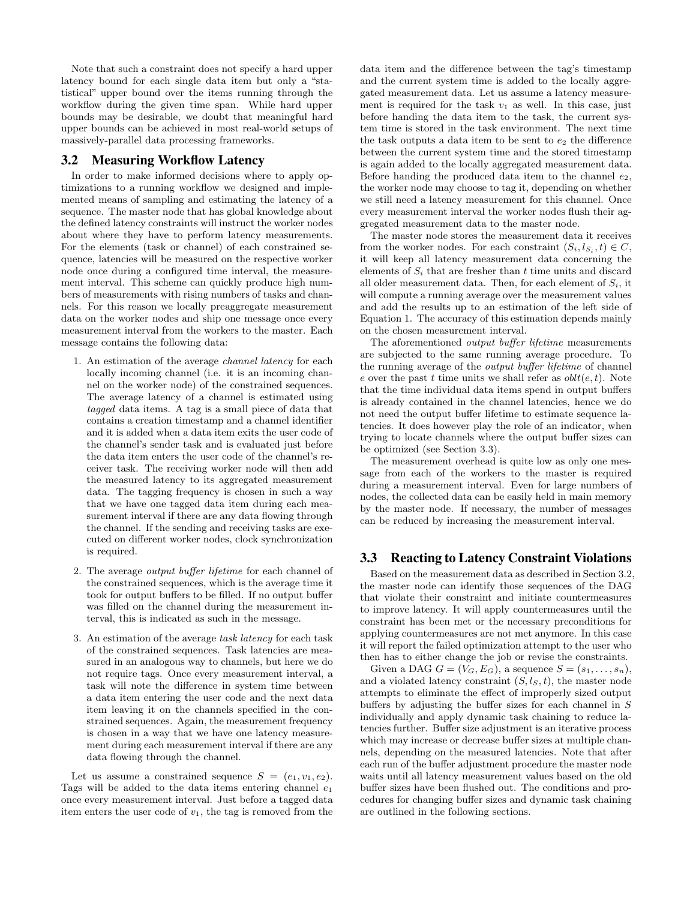Note that such a constraint does not specify a hard upper latency bound for each single data item but only a "statistical" upper bound over the items running through the workflow during the given time span. While hard upper bounds may be desirable, we doubt that meaningful hard upper bounds can be achieved in most real-world setups of massively-parallel data processing frameworks.

## 3.2 Measuring Workflow Latency

In order to make informed decisions where to apply optimizations to a running workflow we designed and implemented means of sampling and estimating the latency of a sequence. The master node that has global knowledge about the defined latency constraints will instruct the worker nodes about where they have to perform latency measurements. For the elements (task or channel) of each constrained sequence, latencies will be measured on the respective worker node once during a configured time interval, the measurement interval. This scheme can quickly produce high numbers of measurements with rising numbers of tasks and channels. For this reason we locally preaggregate measurement data on the worker nodes and ship one message once every measurement interval from the workers to the master. Each message contains the following data:

- 1. An estimation of the average channel latency for each locally incoming channel (i.e. it is an incoming channel on the worker node) of the constrained sequences. The average latency of a channel is estimated using tagged data items. A tag is a small piece of data that contains a creation timestamp and a channel identifier and it is added when a data item exits the user code of the channel's sender task and is evaluated just before the data item enters the user code of the channel's receiver task. The receiving worker node will then add the measured latency to its aggregated measurement data. The tagging frequency is chosen in such a way that we have one tagged data item during each measurement interval if there are any data flowing through the channel. If the sending and receiving tasks are executed on different worker nodes, clock synchronization is required.
- 2. The average output buffer lifetime for each channel of the constrained sequences, which is the average time it took for output buffers to be filled. If no output buffer was filled on the channel during the measurement interval, this is indicated as such in the message.
- 3. An estimation of the average task latency for each task of the constrained sequences. Task latencies are measured in an analogous way to channels, but here we do not require tags. Once every measurement interval, a task will note the difference in system time between a data item entering the user code and the next data item leaving it on the channels specified in the constrained sequences. Again, the measurement frequency is chosen in a way that we have one latency measurement during each measurement interval if there are any data flowing through the channel.

Let us assume a constrained sequence  $S = (e_1, v_1, e_2)$ . Tags will be added to the data items entering channel  $e_1$ once every measurement interval. Just before a tagged data item enters the user code of  $v_1$ , the tag is removed from the data item and the difference between the tag's timestamp and the current system time is added to the locally aggregated measurement data. Let us assume a latency measurement is required for the task  $v_1$  as well. In this case, just before handing the data item to the task, the current system time is stored in the task environment. The next time the task outputs a data item to be sent to  $e_2$  the difference between the current system time and the stored timestamp is again added to the locally aggregated measurement data. Before handing the produced data item to the channel  $e_2$ , the worker node may choose to tag it, depending on whether we still need a latency measurement for this channel. Once every measurement interval the worker nodes flush their aggregated measurement data to the master node.

The master node stores the measurement data it receives from the worker nodes. For each constraint  $(S_i, l_{S_i}, t) \in C$ , it will keep all latency measurement data concerning the elements of  $S_i$  that are fresher than t time units and discard all older measurement data. Then, for each element of  $S_i$ , it will compute a running average over the measurement values and add the results up to an estimation of the left side of Equation 1. The accuracy of this estimation depends mainly on the chosen measurement interval.

The aforementioned output buffer lifetime measurements are subjected to the same running average procedure. To the running average of the output buffer lifetime of channel e over the past t time units we shall refer as  $oblt(e, t)$ . Note that the time individual data items spend in output buffers is already contained in the channel latencies, hence we do not need the output buffer lifetime to estimate sequence latencies. It does however play the role of an indicator, when trying to locate channels where the output buffer sizes can be optimized (see Section 3.3).

The measurement overhead is quite low as only one message from each of the workers to the master is required during a measurement interval. Even for large numbers of nodes, the collected data can be easily held in main memory by the master node. If necessary, the number of messages can be reduced by increasing the measurement interval.

# 3.3 Reacting to Latency Constraint Violations

Based on the measurement data as described in Section 3.2, the master node can identify those sequences of the DAG that violate their constraint and initiate countermeasures to improve latency. It will apply countermeasures until the constraint has been met or the necessary preconditions for applying countermeasures are not met anymore. In this case it will report the failed optimization attempt to the user who then has to either change the job or revise the constraints.

Given a DAG  $G = (V_G, E_G)$ , a sequence  $S = (s_1, \ldots, s_n)$ , and a violated latency constraint  $(S, l<sub>S</sub>, t)$ , the master node attempts to eliminate the effect of improperly sized output buffers by adjusting the buffer sizes for each channel in S individually and apply dynamic task chaining to reduce latencies further. Buffer size adjustment is an iterative process which may increase or decrease buffer sizes at multiple channels, depending on the measured latencies. Note that after each run of the buffer adjustment procedure the master node waits until all latency measurement values based on the old buffer sizes have been flushed out. The conditions and procedures for changing buffer sizes and dynamic task chaining are outlined in the following sections.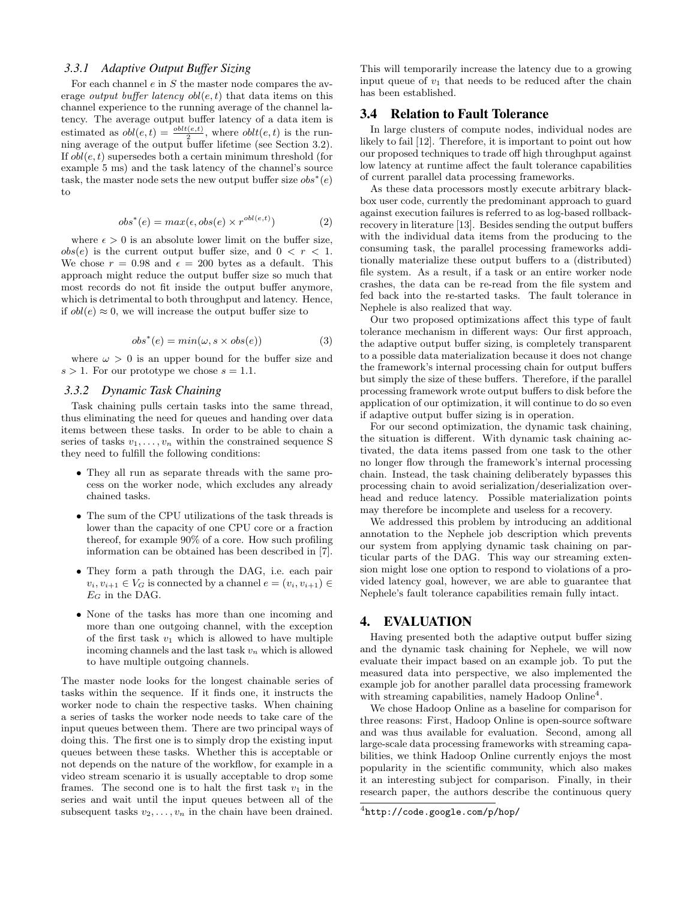#### *3.3.1 Adaptive Output Buffer Sizing*

For each channel  $e$  in  $S$  the master node compares the average *output buffer latency*  $obl(e, t)$  that data items on this channel experience to the running average of the channel latency. The average output buffer latency of a data item is estimated as  $obl(e, t) = \frac{oblt(e, t)}{2}$ , where  $oblt(e, t)$  is the run- $\text{Sumated as } \omega_i(t, t) = \frac{2}{2}$ , where  $\omega_i(t, t)$  is the run-<br>ning average of the output buffer lifetime (see Section 3.2). If  $obl(e, t)$  supersedes both a certain minimum threshold (for example 5 ms) and the task latency of the channel's source task, the master node sets the new output buffer size  $obs^*(e)$ to

$$
obs^*(e) = max(\epsilon, obs(e) \times r^{obl(e, t)})
$$
\n(2)

where  $\epsilon > 0$  is an absolute lower limit on the buffer size,  $obs(e)$  is the current output buffer size, and  $0 < r < 1$ . We chose  $r = 0.98$  and  $\epsilon = 200$  bytes as a default. This approach might reduce the output buffer size so much that most records do not fit inside the output buffer anymore, which is detrimental to both throughput and latency. Hence, if  $obl(e) \approx 0$ , we will increase the output buffer size to

$$
obs^*(e) = min(\omega, s \times obs(e))
$$
 (3)

where  $\omega > 0$  is an upper bound for the buffer size and  $s > 1$ . For our prototype we chose  $s = 1.1$ .

# *3.3.2 Dynamic Task Chaining*

Task chaining pulls certain tasks into the same thread, thus eliminating the need for queues and handing over data items between these tasks. In order to be able to chain a series of tasks  $v_1, \ldots, v_n$  within the constrained sequence S they need to fulfill the following conditions:

- They all run as separate threads with the same process on the worker node, which excludes any already chained tasks.
- The sum of the CPU utilizations of the task threads is lower than the capacity of one CPU core or a fraction thereof, for example 90% of a core. How such profiling information can be obtained has been described in [7].
- They form a path through the DAG, i.e. each pair  $v_i, v_{i+1} \in V_G$  is connected by a channel  $e = (v_i, v_{i+1}) \in$  $E_G$  in the DAG.
- None of the tasks has more than one incoming and more than one outgoing channel, with the exception of the first task  $v_1$  which is allowed to have multiple incoming channels and the last task  $v_n$  which is allowed to have multiple outgoing channels.

The master node looks for the longest chainable series of tasks within the sequence. If it finds one, it instructs the worker node to chain the respective tasks. When chaining a series of tasks the worker node needs to take care of the input queues between them. There are two principal ways of doing this. The first one is to simply drop the existing input queues between these tasks. Whether this is acceptable or not depends on the nature of the workflow, for example in a video stream scenario it is usually acceptable to drop some frames. The second one is to halt the first task  $v_1$  in the series and wait until the input queues between all of the subsequent tasks  $v_2, \ldots, v_n$  in the chain have been drained.

This will temporarily increase the latency due to a growing input queue of  $v_1$  that needs to be reduced after the chain has been established.

### 3.4 Relation to Fault Tolerance

In large clusters of compute nodes, individual nodes are likely to fail [12]. Therefore, it is important to point out how our proposed techniques to trade off high throughput against low latency at runtime affect the fault tolerance capabilities of current parallel data processing frameworks.

As these data processors mostly execute arbitrary blackbox user code, currently the predominant approach to guard against execution failures is referred to as log-based rollbackrecovery in literature [13]. Besides sending the output buffers with the individual data items from the producing to the consuming task, the parallel processing frameworks additionally materialize these output buffers to a (distributed) file system. As a result, if a task or an entire worker node crashes, the data can be re-read from the file system and fed back into the re-started tasks. The fault tolerance in Nephele is also realized that way.

Our two proposed optimizations affect this type of fault tolerance mechanism in different ways: Our first approach, the adaptive output buffer sizing, is completely transparent to a possible data materialization because it does not change the framework's internal processing chain for output buffers but simply the size of these buffers. Therefore, if the parallel processing framework wrote output buffers to disk before the application of our optimization, it will continue to do so even if adaptive output buffer sizing is in operation.

For our second optimization, the dynamic task chaining, the situation is different. With dynamic task chaining activated, the data items passed from one task to the other no longer flow through the framework's internal processing chain. Instead, the task chaining deliberately bypasses this processing chain to avoid serialization/deserialization overhead and reduce latency. Possible materialization points may therefore be incomplete and useless for a recovery.

We addressed this problem by introducing an additional annotation to the Nephele job description which prevents our system from applying dynamic task chaining on particular parts of the DAG. This way our streaming extension might lose one option to respond to violations of a provided latency goal, however, we are able to guarantee that Nephele's fault tolerance capabilities remain fully intact.

# 4. EVALUATION

Having presented both the adaptive output buffer sizing and the dynamic task chaining for Nephele, we will now evaluate their impact based on an example job. To put the measured data into perspective, we also implemented the example job for another parallel data processing framework with streaming capabilities, namely Hadoop Online<sup>4</sup>.

We chose Hadoop Online as a baseline for comparison for three reasons: First, Hadoop Online is open-source software and was thus available for evaluation. Second, among all large-scale data processing frameworks with streaming capabilities, we think Hadoop Online currently enjoys the most popularity in the scientific community, which also makes it an interesting subject for comparison. Finally, in their research paper, the authors describe the continuous query

 $^4$ http://code.google.com/p/hop/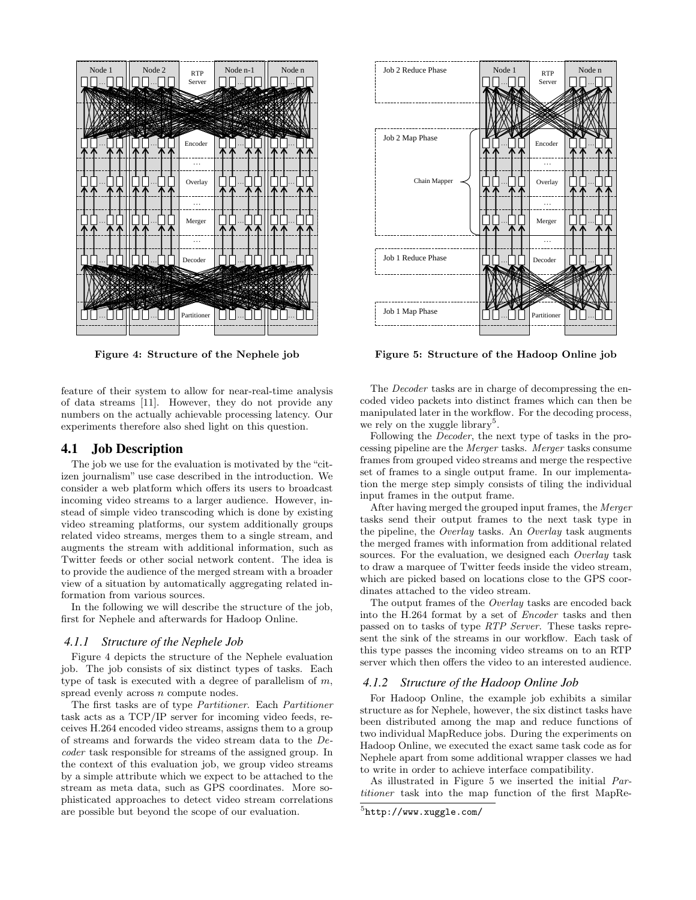

Figure 4: Structure of the Nephele job

feature of their system to allow for near-real-time analysis of data streams [11]. However, they do not provide any numbers on the actually achievable processing latency. Our experiments therefore also shed light on this question.

# 4.1 Job Description

The job we use for the evaluation is motivated by the "citizen journalism" use case described in the introduction. We consider a web platform which offers its users to broadcast incoming video streams to a larger audience. However, instead of simple video transcoding which is done by existing video streaming platforms, our system additionally groups related video streams, merges them to a single stream, and augments the stream with additional information, such as Twitter feeds or other social network content. The idea is to provide the audience of the merged stream with a broader view of a situation by automatically aggregating related information from various sources.

In the following we will describe the structure of the job, first for Nephele and afterwards for Hadoop Online.

#### *4.1.1 Structure of the Nephele Job*

Figure 4 depicts the structure of the Nephele evaluation job. The job consists of six distinct types of tasks. Each type of task is executed with a degree of parallelism of m, spread evenly across *n* compute nodes.

The first tasks are of type Partitioner. Each Partitioner task acts as a TCP/IP server for incoming video feeds, receives H.264 encoded video streams, assigns them to a group of streams and forwards the video stream data to the Decoder task responsible for streams of the assigned group. In the context of this evaluation job, we group video streams by a simple attribute which we expect to be attached to the stream as meta data, such as GPS coordinates. More sophisticated approaches to detect video stream correlations are possible but beyond the scope of our evaluation.



Figure 5: Structure of the Hadoop Online job

The Decoder tasks are in charge of decompressing the encoded video packets into distinct frames which can then be manipulated later in the workflow. For the decoding process, we rely on the xuggle library<sup>5</sup>.

Following the Decoder, the next type of tasks in the processing pipeline are the Merger tasks. Merger tasks consume frames from grouped video streams and merge the respective set of frames to a single output frame. In our implementation the merge step simply consists of tiling the individual input frames in the output frame.

After having merged the grouped input frames, the Merger tasks send their output frames to the next task type in the pipeline, the Overlay tasks. An Overlay task augments the merged frames with information from additional related sources. For the evaluation, we designed each *Overlay* task to draw a marquee of Twitter feeds inside the video stream, which are picked based on locations close to the GPS coordinates attached to the video stream.

The output frames of the *Overlay* tasks are encoded back into the H.264 format by a set of Encoder tasks and then passed on to tasks of type RTP Server. These tasks represent the sink of the streams in our workflow. Each task of this type passes the incoming video streams on to an RTP server which then offers the video to an interested audience.

#### *4.1.2 Structure of the Hadoop Online Job*

For Hadoop Online, the example job exhibits a similar structure as for Nephele, however, the six distinct tasks have been distributed among the map and reduce functions of two individual MapReduce jobs. During the experiments on Hadoop Online, we executed the exact same task code as for Nephele apart from some additional wrapper classes we had to write in order to achieve interface compatibility.

As illustrated in Figure 5 we inserted the initial Partitioner task into the map function of the first MapRe-

<sup>5</sup> http://www.xuggle.com/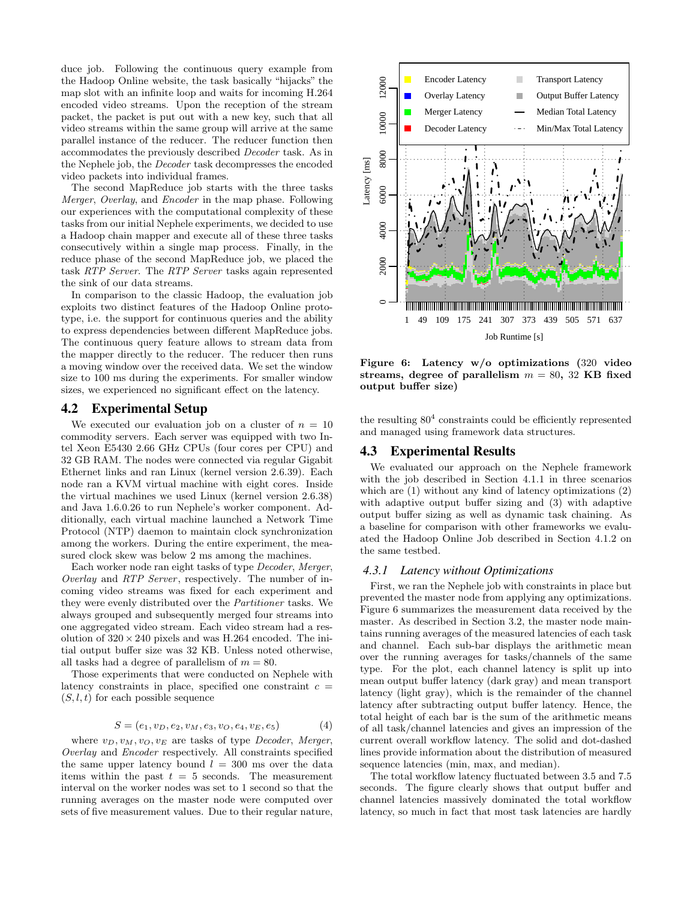duce job. Following the continuous query example from the Hadoop Online website, the task basically "hijacks" the map slot with an infinite loop and waits for incoming H.264 encoded video streams. Upon the reception of the stream packet, the packet is put out with a new key, such that all video streams within the same group will arrive at the same parallel instance of the reducer. The reducer function then accommodates the previously described Decoder task. As in the Nephele job, the Decoder task decompresses the encoded video packets into individual frames.

The second MapReduce job starts with the three tasks Merger, Overlay, and Encoder in the map phase. Following our experiences with the computational complexity of these tasks from our initial Nephele experiments, we decided to use a Hadoop chain mapper and execute all of these three tasks consecutively within a single map process. Finally, in the reduce phase of the second MapReduce job, we placed the task RTP Server. The RTP Server tasks again represented the sink of our data streams.

In comparison to the classic Hadoop, the evaluation job exploits two distinct features of the Hadoop Online prototype, i.e. the support for continuous queries and the ability to express dependencies between different MapReduce jobs. The continuous query feature allows to stream data from the mapper directly to the reducer. The reducer then runs a moving window over the received data. We set the window size to 100 ms during the experiments. For smaller window sizes, we experienced no significant effect on the latency.

#### 4.2 Experimental Setup

We executed our evaluation job on a cluster of  $n = 10$ commodity servers. Each server was equipped with two Intel Xeon E5430 2.66 GHz CPUs (four cores per CPU) and 32 GB RAM. The nodes were connected via regular Gigabit Ethernet links and ran Linux (kernel version 2.6.39). Each node ran a KVM virtual machine with eight cores. Inside the virtual machines we used Linux (kernel version 2.6.38) and Java 1.6.0.26 to run Nephele's worker component. Additionally, each virtual machine launched a Network Time Protocol (NTP) daemon to maintain clock synchronization among the workers. During the entire experiment, the measured clock skew was below 2 ms among the machines.

Each worker node ran eight tasks of type Decoder, Merger, *Overlay* and *RTP Server*, respectively. The number of incoming video streams was fixed for each experiment and they were evenly distributed over the Partitioner tasks. We always grouped and subsequently merged four streams into one aggregated video stream. Each video stream had a resolution of  $320 \times 240$  pixels and was H.264 encoded. The initial output buffer size was 32 KB. Unless noted otherwise, all tasks had a degree of parallelism of  $m = 80$ .

Those experiments that were conducted on Nephele with latency constraints in place, specified one constraint  $c =$  $(S, l, t)$  for each possible sequence

$$
S = (e_1, v_D, e_2, v_M, e_3, v_O, e_4, v_E, e_5)
$$
\n<sup>(4)</sup>

where  $v_D, v_M, v_O, v_E$  are tasks of type *Decoder*, *Merger*, Overlay and Encoder respectively. All constraints specified the same upper latency bound  $l = 300$  ms over the data items within the past  $t = 5$  seconds. The measurement interval on the worker nodes was set to 1 second so that the running averages on the master node were computed over sets of five measurement values. Due to their regular nature,



Figure 6: Latency w/o optimizations (320 video streams, degree of parallelism  $m = 80$ , 32 KB fixed output buffer size)

the resulting  $80<sup>4</sup>$  constraints could be efficiently represented and managed using framework data structures.

#### 4.3 Experimental Results

We evaluated our approach on the Nephele framework with the job described in Section 4.1.1 in three scenarios which are (1) without any kind of latency optimizations (2) with adaptive output buffer sizing and (3) with adaptive output buffer sizing as well as dynamic task chaining. As a baseline for comparison with other frameworks we evaluated the Hadoop Online Job described in Section 4.1.2 on the same testbed.

#### *4.3.1 Latency without Optimizations*

First, we ran the Nephele job with constraints in place but prevented the master node from applying any optimizations. Figure 6 summarizes the measurement data received by the master. As described in Section 3.2, the master node maintains running averages of the measured latencies of each task and channel. Each sub-bar displays the arithmetic mean over the running averages for tasks/channels of the same type. For the plot, each channel latency is split up into mean output buffer latency (dark gray) and mean transport latency (light gray), which is the remainder of the channel latency after subtracting output buffer latency. Hence, the total height of each bar is the sum of the arithmetic means of all task/channel latencies and gives an impression of the current overall workflow latency. The solid and dot-dashed lines provide information about the distribution of measured sequence latencies (min, max, and median).

The total workflow latency fluctuated between 3.5 and 7.5 seconds. The figure clearly shows that output buffer and channel latencies massively dominated the total workflow latency, so much in fact that most task latencies are hardly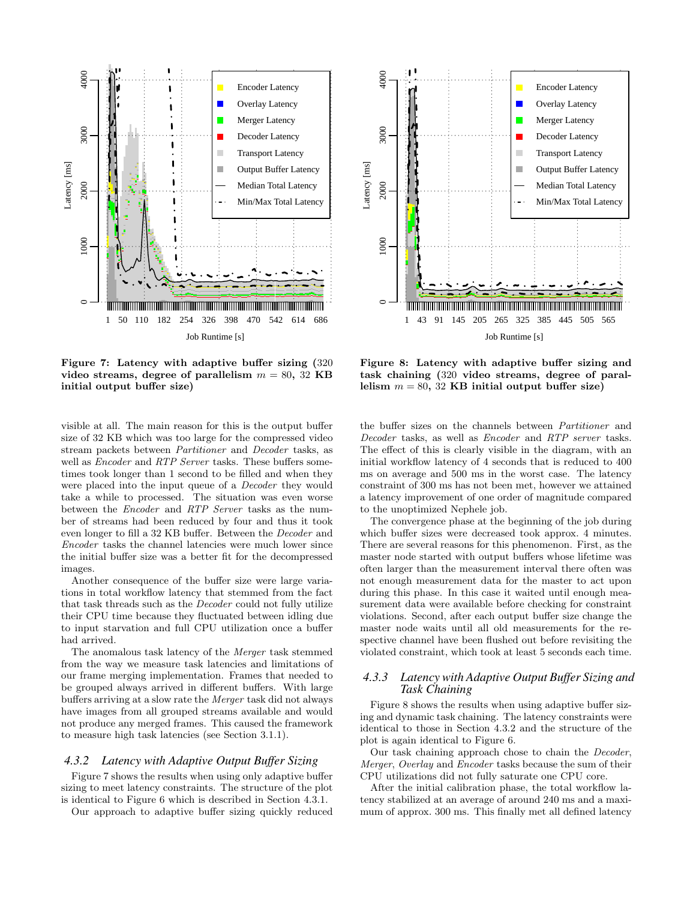

Figure 7: Latency with adaptive buffer sizing (320 video streams, degree of parallelism  $m = 80$ , 32 KB initial output buffer size)

visible at all. The main reason for this is the output buffer size of 32 KB which was too large for the compressed video stream packets between Partitioner and Decoder tasks, as well as *Encoder* and *RTP Server* tasks. These buffers sometimes took longer than 1 second to be filled and when they were placed into the input queue of a Decoder they would take a while to processed. The situation was even worse between the Encoder and RTP Server tasks as the number of streams had been reduced by four and thus it took even longer to fill a 32 KB buffer. Between the Decoder and Encoder tasks the channel latencies were much lower since the initial buffer size was a better fit for the decompressed images.

Another consequence of the buffer size were large variations in total workflow latency that stemmed from the fact that task threads such as the Decoder could not fully utilize their CPU time because they fluctuated between idling due to input starvation and full CPU utilization once a buffer had arrived.

The anomalous task latency of the Merger task stemmed from the way we measure task latencies and limitations of our frame merging implementation. Frames that needed to be grouped always arrived in different buffers. With large buffers arriving at a slow rate the Merger task did not always have images from all grouped streams available and would not produce any merged frames. This caused the framework to measure high task latencies (see Section 3.1.1).

#### *4.3.2 Latency with Adaptive Output Buffer Sizing*

Figure 7 shows the results when using only adaptive buffer sizing to meet latency constraints. The structure of the plot is identical to Figure 6 which is described in Section 4.3.1.

Our approach to adaptive buffer sizing quickly reduced



Figure 8: Latency with adaptive buffer sizing and task chaining (320 video streams, degree of parallelism  $m = 80$ , 32 KB initial output buffer size)

the buffer sizes on the channels between Partitioner and Decoder tasks, as well as Encoder and RTP server tasks. The effect of this is clearly visible in the diagram, with an initial workflow latency of 4 seconds that is reduced to 400 ms on average and 500 ms in the worst case. The latency constraint of 300 ms has not been met, however we attained a latency improvement of one order of magnitude compared to the unoptimized Nephele job.

The convergence phase at the beginning of the job during which buffer sizes were decreased took approx. 4 minutes. There are several reasons for this phenomenon. First, as the master node started with output buffers whose lifetime was often larger than the measurement interval there often was not enough measurement data for the master to act upon during this phase. In this case it waited until enough measurement data were available before checking for constraint violations. Second, after each output buffer size change the master node waits until all old measurements for the respective channel have been flushed out before revisiting the violated constraint, which took at least 5 seconds each time.

## *4.3.3 Latency with Adaptive Output Buffer Sizing and Task Chaining*

Figure 8 shows the results when using adaptive buffer sizing and dynamic task chaining. The latency constraints were identical to those in Section 4.3.2 and the structure of the plot is again identical to Figure 6.

Our task chaining approach chose to chain the Decoder, Merger, Overlay and Encoder tasks because the sum of their CPU utilizations did not fully saturate one CPU core.

After the initial calibration phase, the total workflow latency stabilized at an average of around 240 ms and a maximum of approx. 300 ms. This finally met all defined latency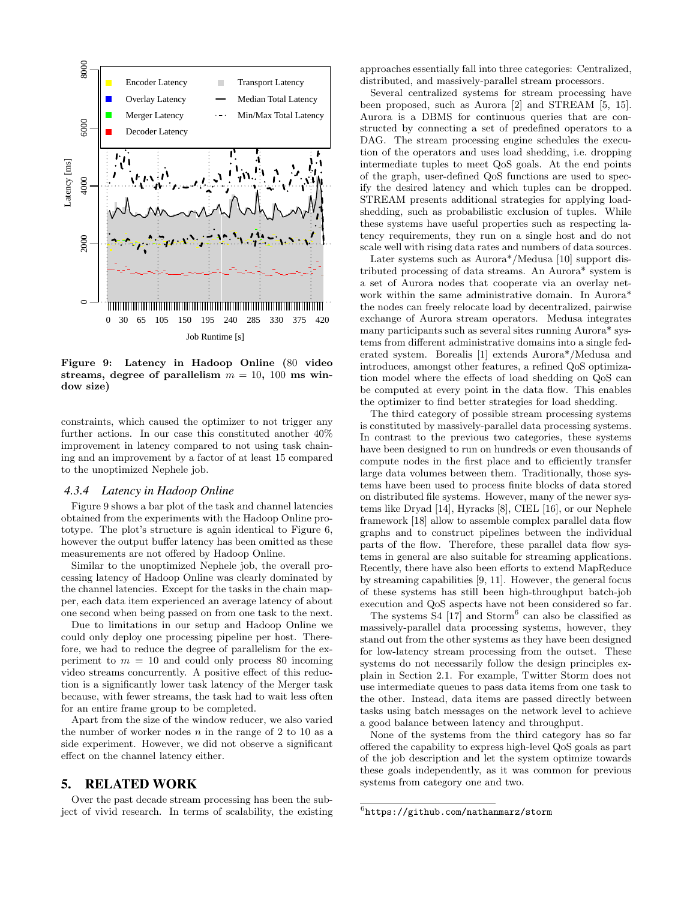

Figure 9: Latency in Hadoop Online (80 video streams, degree of parallelism  $m = 10$ , 100 ms window size)

constraints, which caused the optimizer to not trigger any further actions. In our case this constituted another 40% improvement in latency compared to not using task chaining and an improvement by a factor of at least 15 compared to the unoptimized Nephele job.

#### *4.3.4 Latency in Hadoop Online*

Figure 9 shows a bar plot of the task and channel latencies obtained from the experiments with the Hadoop Online prototype. The plot's structure is again identical to Figure 6, however the output buffer latency has been omitted as these measurements are not offered by Hadoop Online.

Similar to the unoptimized Nephele job, the overall processing latency of Hadoop Online was clearly dominated by the channel latencies. Except for the tasks in the chain mapper, each data item experienced an average latency of about one second when being passed on from one task to the next.

Due to limitations in our setup and Hadoop Online we could only deploy one processing pipeline per host. Therefore, we had to reduce the degree of parallelism for the experiment to  $m = 10$  and could only process 80 incoming video streams concurrently. A positive effect of this reduction is a significantly lower task latency of the Merger task because, with fewer streams, the task had to wait less often for an entire frame group to be completed.

Apart from the size of the window reducer, we also varied the number of worker nodes  $n$  in the range of 2 to 10 as a side experiment. However, we did not observe a significant effect on the channel latency either.

# 5. RELATED WORK

Over the past decade stream processing has been the subject of vivid research. In terms of scalability, the existing approaches essentially fall into three categories: Centralized, distributed, and massively-parallel stream processors.

Several centralized systems for stream processing have been proposed, such as Aurora [2] and STREAM [5, 15]. Aurora is a DBMS for continuous queries that are constructed by connecting a set of predefined operators to a DAG. The stream processing engine schedules the execution of the operators and uses load shedding, i.e. dropping intermediate tuples to meet QoS goals. At the end points of the graph, user-defined QoS functions are used to specify the desired latency and which tuples can be dropped. STREAM presents additional strategies for applying loadshedding, such as probabilistic exclusion of tuples. While these systems have useful properties such as respecting latency requirements, they run on a single host and do not scale well with rising data rates and numbers of data sources.

Later systems such as Aurora\*/Medusa [10] support distributed processing of data streams. An Aurora\* system is a set of Aurora nodes that cooperate via an overlay network within the same administrative domain. In Aurora\* the nodes can freely relocate load by decentralized, pairwise exchange of Aurora stream operators. Medusa integrates many participants such as several sites running Aurora\* systems from different administrative domains into a single federated system. Borealis [1] extends Aurora\*/Medusa and introduces, amongst other features, a refined QoS optimization model where the effects of load shedding on QoS can be computed at every point in the data flow. This enables the optimizer to find better strategies for load shedding.

The third category of possible stream processing systems is constituted by massively-parallel data processing systems. In contrast to the previous two categories, these systems have been designed to run on hundreds or even thousands of compute nodes in the first place and to efficiently transfer large data volumes between them. Traditionally, those systems have been used to process finite blocks of data stored on distributed file systems. However, many of the newer systems like Dryad [14], Hyracks [8], CIEL [16], or our Nephele framework [18] allow to assemble complex parallel data flow graphs and to construct pipelines between the individual parts of the flow. Therefore, these parallel data flow systems in general are also suitable for streaming applications. Recently, there have also been efforts to extend MapReduce by streaming capabilities [9, 11]. However, the general focus of these systems has still been high-throughput batch-job execution and QoS aspects have not been considered so far.

The systems  $S4$  [17] and  $Storm<sup>6</sup>$  can also be classified as massively-parallel data processing systems, however, they stand out from the other systems as they have been designed for low-latency stream processing from the outset. These systems do not necessarily follow the design principles explain in Section 2.1. For example, Twitter Storm does not use intermediate queues to pass data items from one task to the other. Instead, data items are passed directly between tasks using batch messages on the network level to achieve a good balance between latency and throughput.

None of the systems from the third category has so far offered the capability to express high-level QoS goals as part of the job description and let the system optimize towards these goals independently, as it was common for previous systems from category one and two.

 $^6$ https://github.com/nathanmarz/storm